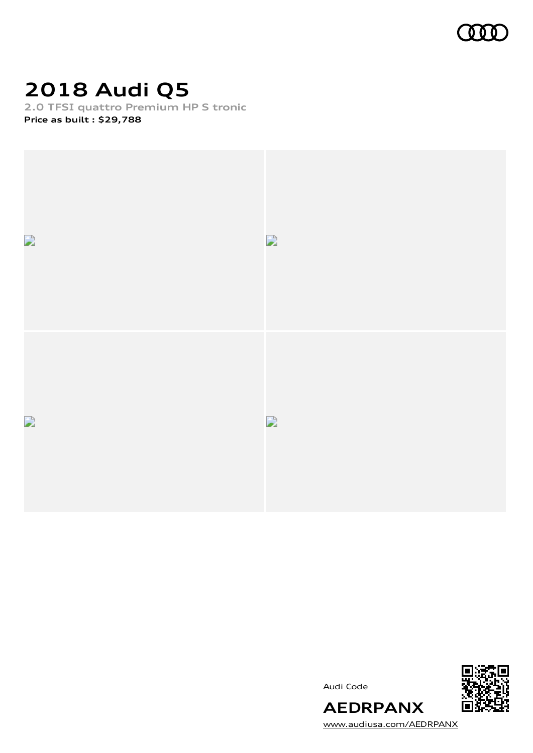

### **2018 Audi Q5**

**2.0 TFSI quattro Premium HP S tronic**

**Price as built [:](#page-11-0) \$29,788**



Audi Code



[www.audiusa.com/AEDRPANX](https://www.audiusa.com/AEDRPANX)

**AEDRPANX**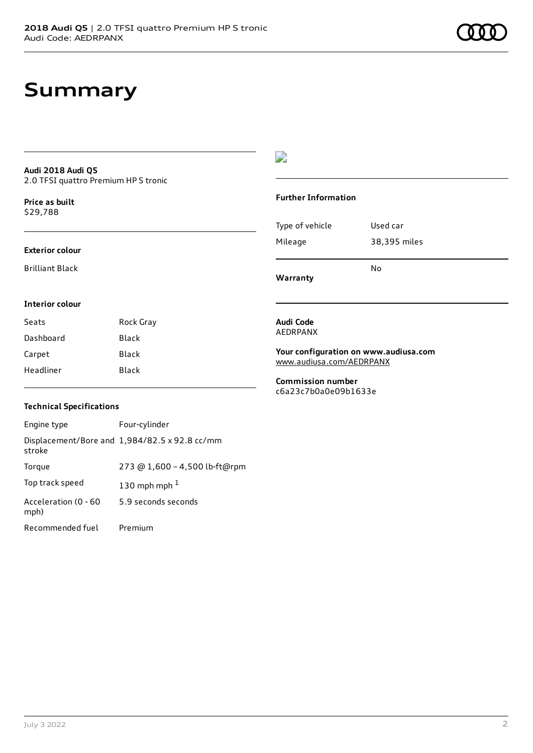#### **Audi 2018 Audi Q5** 2.0 TFSI quattro Premium HP S tronic

**Price as buil[t](#page-11-0)** \$29,788

#### **Exterior colour**

Brilliant Black

### **Interior colour**

| Seats     | Rock Gray |
|-----------|-----------|
| Dashboard | Black     |
| Carpet    | Black     |
| Headliner | Black     |

### $\overline{\phantom{a}}$

### **Further Information**

| No           |
|--------------|
| 38,395 miles |
| Used car     |
|              |

**Warranty**

#### **Audi Code** AEDRPANX

**Your configuration on www.audiusa.com** [www.audiusa.com/AEDRPANX](https://www.audiusa.com/AEDRPANX)

**Commission number** c6a23c7b0a0e09b1633e

### **Technical Specifications**

| Engine type                  | Four-cylinder                                 |
|------------------------------|-----------------------------------------------|
| stroke                       | Displacement/Bore and 1,984/82.5 x 92.8 cc/mm |
| Torque                       | 273 @ 1,600 - 4,500 lb-ft@rpm                 |
| Top track speed              | 130 mph mph $1$                               |
| Acceleration (0 - 60<br>mph) | 5.9 seconds seconds                           |
| Recommended fuel             | Premium                                       |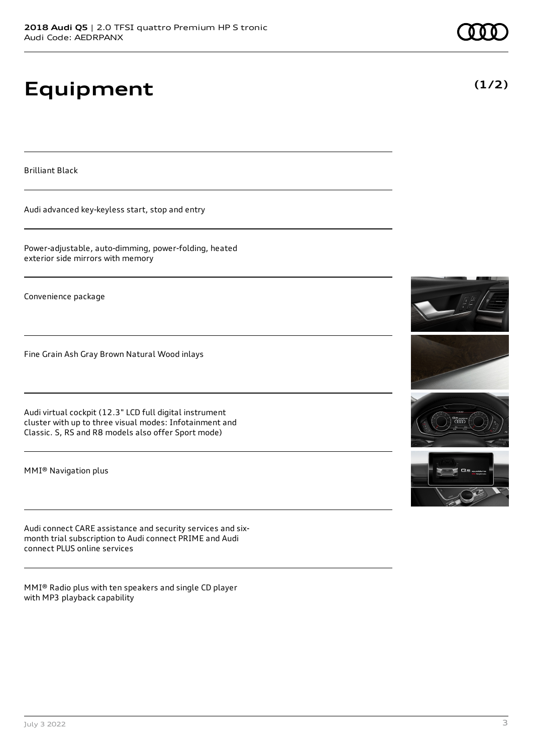# **Equipment**

Brilliant Black

Audi advanced key-keyless start, stop and entry

Power-adjustable, auto-dimming, power-folding, heated exterior side mirrors with memory

Convenience package

Fine Grain Ash Gray Brown Natural Wood inlays

Audi virtual cockpit (12.3" LCD full digital instrument cluster with up to three visual modes: Infotainment and Classic. S, RS and R8 models also offer Sport mode)

MMI® Navigation plus

Audi connect CARE assistance and security services and sixmonth trial subscription to Audi connect PRIME and Audi connect PLUS online services

MMI® Radio plus with ten speakers and single CD player with MP3 playback capability



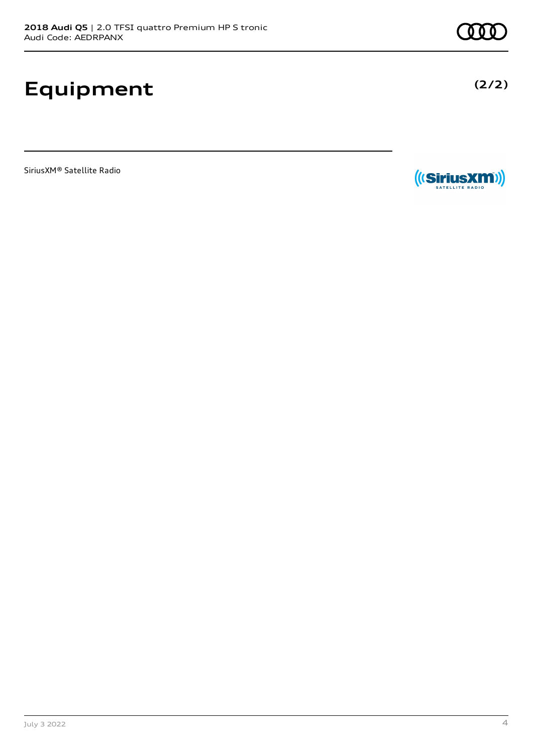## **Equipment**

SiriusXM® Satellite Radio



SATELLITE RADIO

**(2/2)**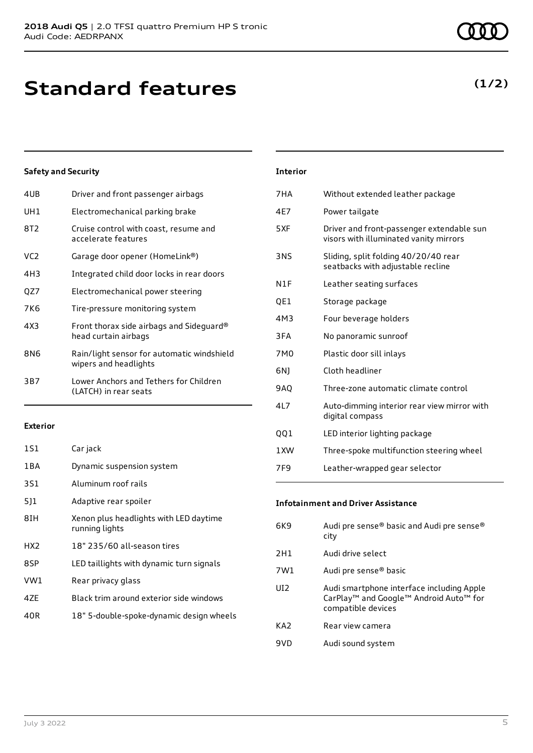### **Standard features**

### **Safety and Security**

| 4UB             | Driver and front passenger airbags                                  |
|-----------------|---------------------------------------------------------------------|
| UH1             | Electromechanical parking brake                                     |
| 8T <sub>2</sub> | Cruise control with coast, resume and<br>accelerate features        |
| VC2             | Garage door opener (HomeLink®)                                      |
| 4H3             | Integrated child door locks in rear doors                           |
| QZ7             | Electromechanical power steering                                    |
| 7K6             | Tire-pressure monitoring system                                     |
| 4X3             | Front thorax side airbags and Sideguard®<br>head curtain airbags    |
| 8N6             | Rain/light sensor for automatic windshield<br>wipers and headlights |
| 3B7             | Lower Anchors and Tethers for Children<br>(LATCH) in rear seats     |
|                 |                                                                     |

#### **Exterior**

| 1S1             | Car jack                                                 |
|-----------------|----------------------------------------------------------|
| 1 B A           | Dynamic suspension system                                |
| 3S1             | Aluminum roof rails                                      |
| 511             | Adaptive rear spoiler                                    |
| 8IH             | Xenon plus headlights with LED daytime<br>running lights |
| HX <sub>2</sub> | 18" 235/60 all-season tires                              |
| 8SP             | LED taillights with dynamic turn signals                 |
| VW1             | Rear privacy glass                                       |
| 4ZE             | Black trim around exterior side windows                  |
| 40R             | 18" 5-double-spoke-dynamic design wheels                 |
|                 |                                                          |

### 7HA Without extended leather package 4E7 Power tailgate 5XF Driver and front-passenger extendable sun visors with illuminated vanity mirrors 3NS Sliding, split folding 40/20/40 rear seatbacks with adjustable recline N1F Leather seating surfaces QE1 Storage package 4M3 Four beverage holders 3FA No panoramic sunroof 7M0 Plastic door sill inlays 6NJ Cloth headliner 9AQ Three-zone automatic climate control 4L7 Auto-dimming interior rear view mirror with digital compass QQ1 LED interior lighting package

**Interior**

1XW Three-spoke multifunction steering wheel 7F9 Leather-wrapped gear selector

#### **Infotainment and Driver Assistance**

| 6K9             | Audi pre sense® basic and Audi pre sense®<br>city                                                                     |
|-----------------|-----------------------------------------------------------------------------------------------------------------------|
| 2H1             | Audi drive select                                                                                                     |
| 7W1             | Audi pre sense® basic                                                                                                 |
| UI2             | Audi smartphone interface including Apple<br>CarPlay <sup>™</sup> and Google™ Android Auto™ for<br>compatible devices |
| KA <sub>2</sub> | Rear view camera                                                                                                      |
| 9VD             | Audi sound system                                                                                                     |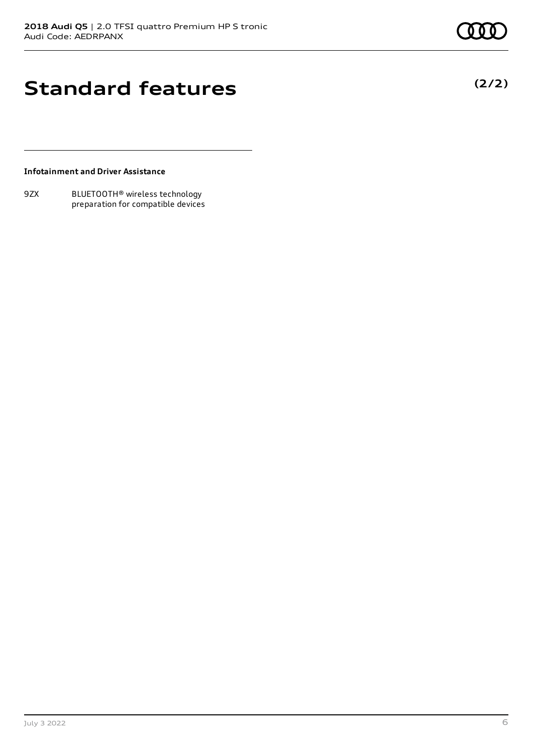**(2/2)**

### **Standard features**

**Infotainment and Driver Assistance**

9ZX BLUETOOTH® wireless technology preparation for compatible devices

July 3 2022 6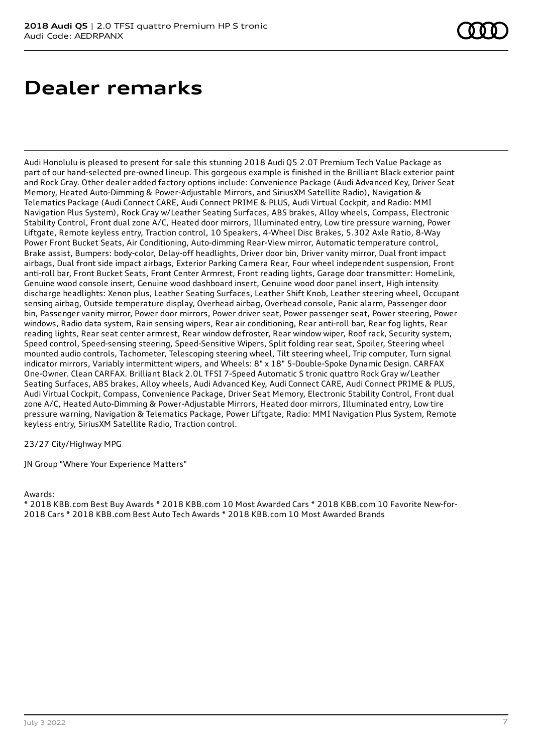### **Dealer remarks**

Audi Honolulu is pleased to present for sale this stunning 2018 Audi Q5 2.0T Premium Tech Value Package as part of our hand-selected pre-owned lineup. This gorgeous example is finished in the Brilliant Black exterior paint and Rock Gray. Other dealer added factory options include: Convenience Package (Audi Advanced Key, Driver Seat Memory, Heated Auto-Dimming & Power-Adjustable Mirrors, and SiriusXM Satellite Radio), Navigation & Telematics Package (Audi Connect CARE, Audi Connect PRIME & PLUS, Audi Virtual Cockpit, and Radio: MMI Navigation Plus System), Rock Gray w/Leather Seating Surfaces, ABS brakes, Alloy wheels, Compass, Electronic Stability Control, Front dual zone A/C, Heated door mirrors, Illuminated entry, Low tire pressure warning, Power Liftgate, Remote keyless entry, Traction control, 10 Speakers, 4-Wheel Disc Brakes, 5.302 Axle Ratio, 8-Way Power Front Bucket Seats, Air Conditioning, Auto-dimming Rear-View mirror, Automatic temperature control, Brake assist, Bumpers: body-color, Delay-off headlights, Driver door bin, Driver vanity mirror, Dual front impact airbags, Dual front side impact airbags, Exterior Parking Camera Rear, Four wheel independent suspension, Front anti-roll bar, Front Bucket Seats, Front Center Armrest, Front reading lights, Garage door transmitter: HomeLink, Genuine wood console insert, Genuine wood dashboard insert, Genuine wood door panel insert, High intensity discharge headlights: Xenon plus, Leather Seating Surfaces, Leather Shift Knob, Leather steering wheel, Occupant sensing airbag, Outside temperature display, Overhead airbag, Overhead console, Panic alarm, Passenger door bin, Passenger vanity mirror, Power door mirrors, Power driver seat, Power passenger seat, Power steering, Power windows, Radio data system, Rain sensing wipers, Rear air conditioning, Rear anti-roll bar, Rear fog lights, Rear reading lights, Rear seat center armrest, Rear window defroster, Rear window wiper, Roof rack, Security system, Speed control, Speed-sensing steering, Speed-Sensitive Wipers, Split folding rear seat, Spoiler, Steering wheel mounted audio controls, Tachometer, Telescoping steering wheel, Tilt steering wheel, Trip computer, Turn signal indicator mirrors, Variably intermittent wipers, and Wheels: 8" x 18" 5-Double-Spoke Dynamic Design. CARFAX One-Owner. Clean CARFAX. Brilliant Black 2.0L TFSI 7-Speed Automatic S tronic quattro Rock Gray w/Leather Seating Surfaces, ABS brakes, Alloy wheels, Audi Advanced Key, Audi Connect CARE, Audi Connect PRIME & PLUS, Audi Virtual Cockpit, Compass, Convenience Package, Driver Seat Memory, Electronic Stability Control, Front dual zone A/C, Heated Auto-Dimming & Power-Adjustable Mirrors, Heated door mirrors, Illuminated entry, Low tire pressure warning, Navigation & Telematics Package, Power Liftgate, Radio: MMI Navigation Plus System, Remote keyless entry, SiriusXM Satellite Radio, Traction control.

23/27 City/Highway MPG

JN Group "Where Your Experience Matters"

Awards:

\* 2018 KBB.com Best Buy Awards \* 2018 KBB.com 10 Most Awarded Cars \* 2018 KBB.com 10 Favorite New-for-2018 Cars \* 2018 KBB.com Best Auto Tech Awards \* 2018 KBB.com 10 Most Awarded Brands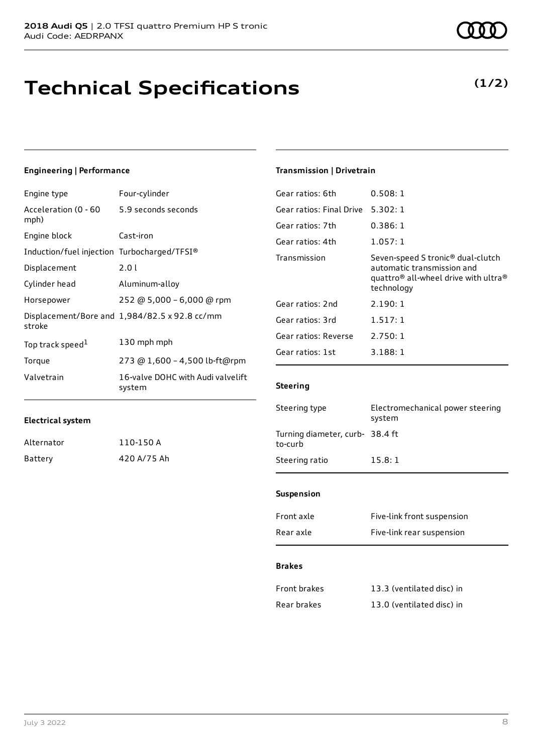### **Technical Specifications**

### **Engineering | Performance**

| Engine type                                 | Four-cylinder                                 |
|---------------------------------------------|-----------------------------------------------|
| Acceleration (0 - 60<br>mph)                | 5.9 seconds seconds                           |
| Engine block                                | Cast-iron                                     |
| Induction/fuel injection Turbocharged/TFSI® |                                               |
| Displacement                                | 2.0 l                                         |
| Cylinder head                               | Aluminum-alloy                                |
| Horsepower                                  | 252 @ 5,000 - 6,000 @ rpm                     |
| stroke                                      | Displacement/Bore and 1,984/82.5 x 92.8 cc/mm |
| Top track speed <sup>1</sup>                | 130 mph mph                                   |
| Torque                                      | 273 @ 1,600 - 4,500 lb-ft@rpm                 |
| Valvetrain                                  | 16-valve DOHC with Audi valvelift<br>system   |

### **Transmission | Drivetrain**

| Gear ratios: 6th         | 0.508:1                                                                                                                                                   |
|--------------------------|-----------------------------------------------------------------------------------------------------------------------------------------------------------|
| Gear ratios: Final Drive | 5.302:1                                                                                                                                                   |
| Gear ratios: 7th         | 0.386:1                                                                                                                                                   |
| Gear ratios: 4th         | 1.057:1                                                                                                                                                   |
| Transmission             | Seven-speed S tronic <sup>®</sup> dual-clutch<br>automatic transmission and<br>quattro <sup>®</sup> all-wheel drive with ultra <sup>®</sup><br>technology |
| Gear ratios: 2nd         | 2.190:1                                                                                                                                                   |
| Gear ratios: 3rd         | 1.517:1                                                                                                                                                   |
| Gear ratios: Reverse     | 2.750:1                                                                                                                                                   |
| Gear ratios: 1st         | 3.188:1                                                                                                                                                   |
|                          |                                                                                                                                                           |

### **Steering**

| Steering type                              | Electromechanical power steering<br>system |
|--------------------------------------------|--------------------------------------------|
| Turning diameter, curb- 38.4 ft<br>to-curb |                                            |
| Steering ratio                             | 15.8:1                                     |
|                                            |                                            |

#### **Suspension**

| Front axle | Five-link front suspension |
|------------|----------------------------|
| Rear axle  | Five-link rear suspension  |

#### **Brakes**

| Front brakes | 13.3 (ventilated disc) in |
|--------------|---------------------------|
| Rear brakes  | 13.0 (ventilated disc) in |

**Electrical system**

Alternator 110-150 A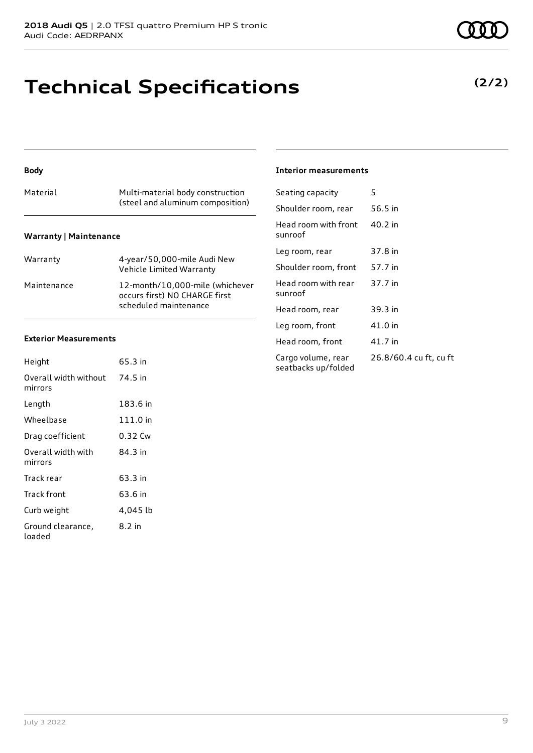### **Technical Specifications**

| Material                      | Multi-material body construction<br>(steel and aluminum composition)                      |
|-------------------------------|-------------------------------------------------------------------------------------------|
| <b>Warranty   Maintenance</b> |                                                                                           |
| Warranty                      | 4-year/50,000-mile Audi New<br>Vehicle Limited Warranty                                   |
| Maintenance                   | 12-month/10,000-mile (whichever<br>occurs first) NO CHARGE first<br>scheduled maintenance |

### **Exterior Measurements**

**Body**

| Height                           | 65.3 in  |
|----------------------------------|----------|
| Overall width without<br>mirrors | 74.5 in  |
| Length                           | 183.6 in |
| Wheelbase                        | 111.0 in |
| Drag coefficient                 | 0.32 Cw  |
| Overall width with<br>mirrors    | 84.3 in  |
| Track rear                       | 63.3 in  |
| Track front                      | 63.6 in  |
| Curb weight                      | 4,045 lb |
| Ground clearance,<br>loaded      | 8.2 in   |

#### **Interior measurements**

| Seating capacity                          | 5                      |
|-------------------------------------------|------------------------|
| Shoulder room, rear                       | 56.5 in                |
| Head room with front<br>sunroof           | 40.2 in                |
| Leg room, rear                            | 37.8 in                |
| Shoulder room, front                      | 57.7 in                |
| Head room with rear<br>sunroof            | 37.7 in                |
| Head room, rear                           | 39.3 in                |
| Leg room, front                           | 41.0 in                |
| Head room, front                          | 41.7 in                |
| Cargo volume, rear<br>seatbacks up/folded | 26.8/60.4 cu ft, cu ft |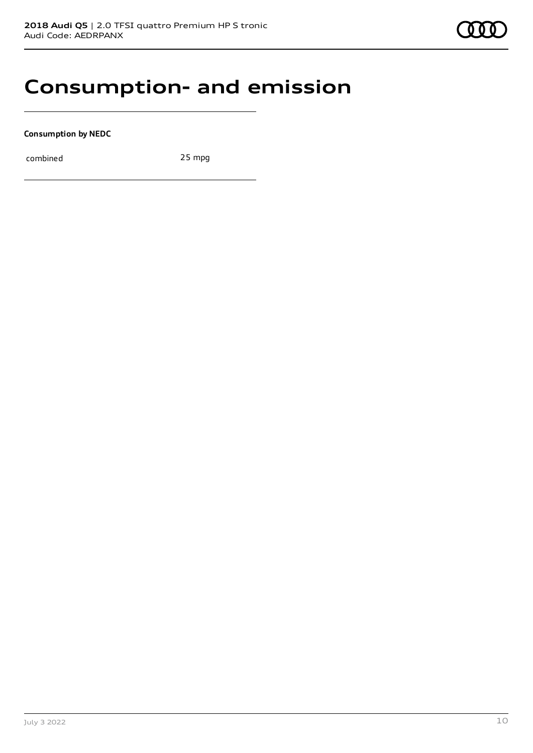### **Consumption- and emission**

**Consumption by NEDC**

combined 25 mpg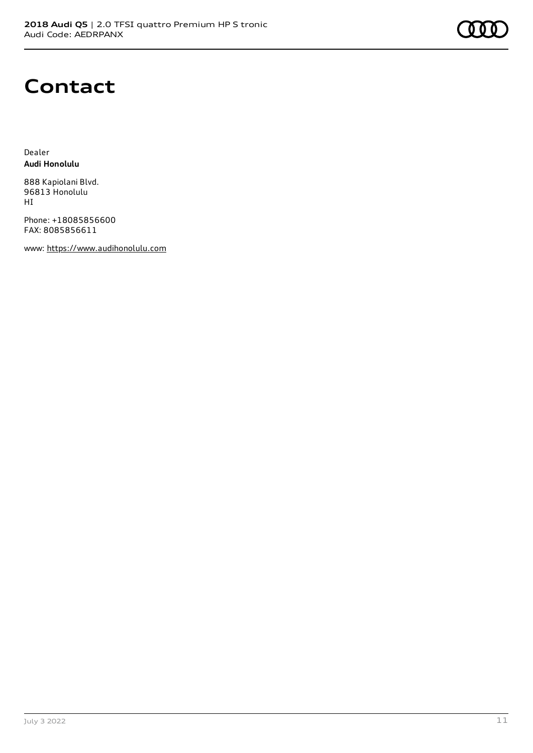### **Contact**

Dealer **Audi Honolulu**

888 Kapiolani Blvd. 96813 Honolulu HI

Phone: +18085856600 FAX: 8085856611

www: [https://www.audihonolulu.com](https://www.audihonolulu.com/)